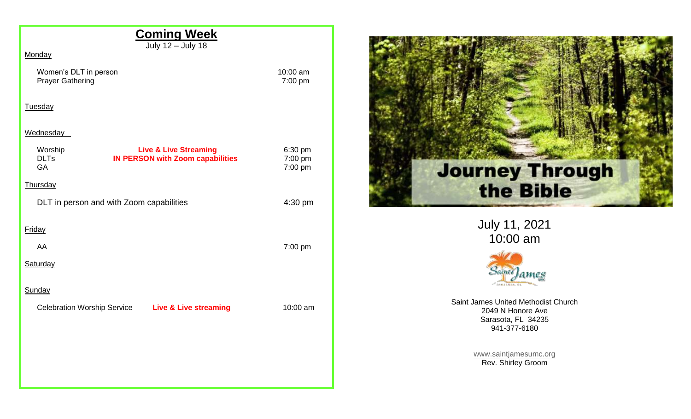| <b>Coming Week</b>                                                                                                 |                               |
|--------------------------------------------------------------------------------------------------------------------|-------------------------------|
| July 12 - July 18                                                                                                  |                               |
| Monday                                                                                                             |                               |
| Women's DLT in person<br><b>Prayer Gathering</b>                                                                   | 10:00 am<br>7:00 pm           |
| <b>Tuesday</b>                                                                                                     |                               |
| Wednesday                                                                                                          |                               |
| Worship<br><b>Live &amp; Live Streaming</b><br><b>DLTs</b><br><b>IN PERSON with Zoom capabilities</b><br><b>GA</b> | 6:30 pm<br>7:00 pm<br>7:00 pm |
| Thursday                                                                                                           |                               |
| DLT in person and with Zoom capabilities                                                                           | 4:30 pm                       |
| Friday                                                                                                             |                               |
| AA                                                                                                                 | 7:00 pm                       |
| Saturday                                                                                                           |                               |
| Sunday                                                                                                             |                               |
| Celebration Worship Service Live & Live streaming                                                                  | 10:00 am                      |
|                                                                                                                    |                               |
|                                                                                                                    |                               |
|                                                                                                                    |                               |
|                                                                                                                    |                               |



July 11, 2021 10:00 am



Saint James United Methodist Church 2049 N Honore Ave Sarasota, FL 34235 941-377-6180

> [www.saintjamesumc.org](http://www.saintjamesumc.org/) Rev. Shirley Groom